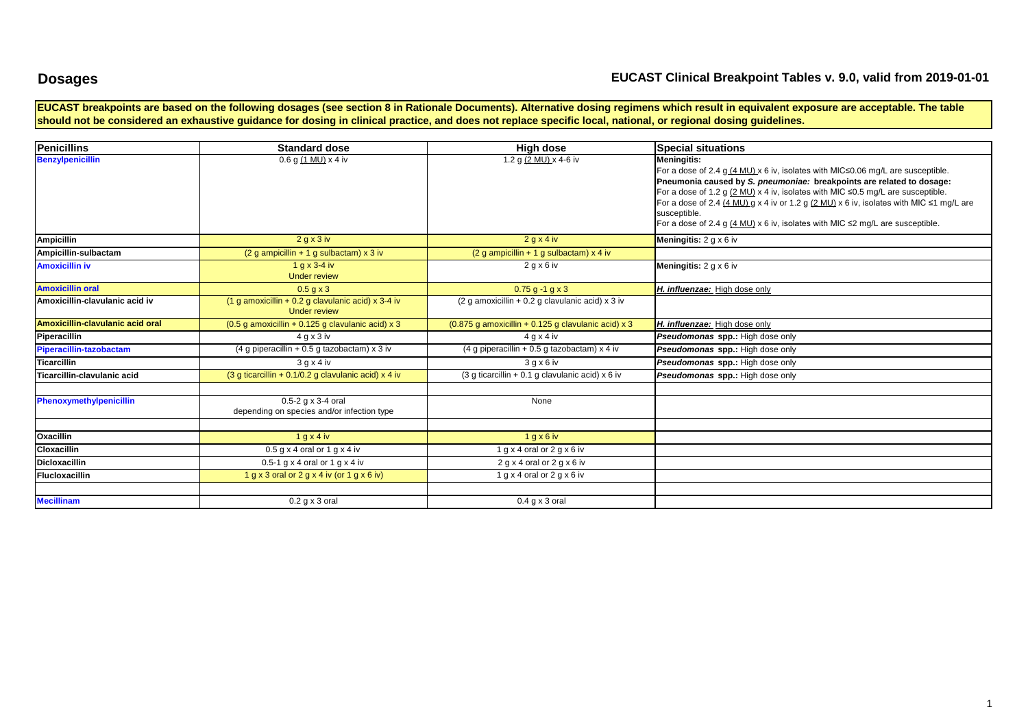## **Dosages**

### **EUCAST Clinical Breakpoint Tables v. 9.0, valid from 2019-01-01**

**EUCAST breakpoints are based on the following dosages (see section 8 in Rationale Documents). Alternative dosing regimens which result in equivalent exposure are acceptable. The table**  should not be considered an exhaustive guidance for dosing in clinical practice, and does not replace specific local, national, or regional dosing guidelines.

| <b>Penicillins</b>               | <b>Standard dose</b>                                                      | <b>High dose</b>                                           | <b>Special situations</b>                                                                                                                                                                                                                                                                                                                                                                                                                                                                                                  |
|----------------------------------|---------------------------------------------------------------------------|------------------------------------------------------------|----------------------------------------------------------------------------------------------------------------------------------------------------------------------------------------------------------------------------------------------------------------------------------------------------------------------------------------------------------------------------------------------------------------------------------------------------------------------------------------------------------------------------|
| <b>Benzylpenicillin</b>          | $0.6$ g (1 MU) x 4 iv                                                     | 1.2 g (2 MU) x 4-6 iv                                      | <b>Meningitis:</b><br>For a dose of 2.4 g (4 MU) x 6 iv, isolates with MIC≤0.06 mg/L are susceptible.<br>Pneumonia caused by S. pneumoniae: breakpoints are related to dosage:<br>For a dose of 1.2 g $(2 \text{ MU})$ x 4 iv, isolates with MIC $\leq$ 0.5 mg/L are susceptible.<br>For a dose of 2.4 $(4 \text{ MU})$ g x 4 iv or 1.2 g $(2 \text{ MU})$ x 6 iv, isolates with MIC $\leq 1$ mg/L are<br>susceptible.<br>For a dose of 2.4 g $(4 \text{ MU}) \times 6$ iv, isolates with MIC $\leq$ mg/L are susceptible. |
| <b>Ampicillin</b>                | 2 g x 3 iv                                                                | $2$ g x 4 iv                                               | <b>Meningitis:</b> $2 g \times 6 w$                                                                                                                                                                                                                                                                                                                                                                                                                                                                                        |
| Ampicillin-sulbactam             | $(2 g$ ampicillin + 1 g sulbactam) x 3 iv                                 | $(2 g$ ampicillin + 1 g sulbactam) x 4 iv                  |                                                                                                                                                                                                                                                                                                                                                                                                                                                                                                                            |
| <b>Amoxicillin iv</b>            | $1 g x 3-4 iv$<br><b>Under review</b>                                     | 2 g x 6 iv                                                 | <b>Meningitis:</b> $2 g \times 6 w$                                                                                                                                                                                                                                                                                                                                                                                                                                                                                        |
| <b>Amoxicillin oral</b>          | $0.5$ q x 3                                                               | $0.75$ g -1 g x 3                                          | H. influenzae: High dose only                                                                                                                                                                                                                                                                                                                                                                                                                                                                                              |
| Amoxicillin-clavulanic acid iv   | (1 g amoxicillin + 0.2 g clavulanic acid) x 3-4 iv<br><b>Under review</b> | $(2 \text{ q}$ amoxicillin + 0.2 q clavulanic acid) x 3 iv |                                                                                                                                                                                                                                                                                                                                                                                                                                                                                                                            |
| Amoxicillin-clavulanic acid oral | $(0.5$ g amoxicillin + 0.125 g clavulanic acid) x 3                       | $(0.875$ g amoxicillin + 0.125 g clavulanic acid) x 3      | H. influenzae: High dose only                                                                                                                                                                                                                                                                                                                                                                                                                                                                                              |
| Piperacillin                     | 4 g x 3 iv                                                                | 4 g x 4 iv                                                 | Pseudomonas spp.: High dose only                                                                                                                                                                                                                                                                                                                                                                                                                                                                                           |
| Piperacillin-tazobactam          | $(4 g$ piperacillin + 0.5 g tazobactam) x 3 iv                            | (4 g piperacillin + 0.5 g tazobactam) $x$ 4 iv             | Pseudomonas spp.: High dose only                                                                                                                                                                                                                                                                                                                                                                                                                                                                                           |
| Ticarcillin                      | 3 g x 4 iv                                                                | 3 g x 6 i v                                                | Pseudomonas spp.: High dose only                                                                                                                                                                                                                                                                                                                                                                                                                                                                                           |
| Ticarcillin-clavulanic acid      | (3 g ticarcillin + 0.1/0.2 g clavulanic acid) x 4 iv                      | $(3 g)$ ticarcillin + 0.1 g clavulanic acid) x 6 iv        | Pseudomonas spp.: High dose only                                                                                                                                                                                                                                                                                                                                                                                                                                                                                           |
|                                  |                                                                           |                                                            |                                                                                                                                                                                                                                                                                                                                                                                                                                                                                                                            |
| Phenoxymethylpenicillin          | $0.5 - 2$ g x 3-4 oral<br>depending on species and/or infection type      | None                                                       |                                                                                                                                                                                                                                                                                                                                                                                                                                                                                                                            |
|                                  |                                                                           |                                                            |                                                                                                                                                                                                                                                                                                                                                                                                                                                                                                                            |
| Oxacillin                        | $1$ g x 4 iv                                                              | $1$ g x 6 iv                                               |                                                                                                                                                                                                                                                                                                                                                                                                                                                                                                                            |
| Cloxacillin                      | $0.5$ g x 4 oral or 1 g x 4 iv                                            | 1 g x 4 oral or 2 g x 6 iv                                 |                                                                                                                                                                                                                                                                                                                                                                                                                                                                                                                            |
| <b>Dicloxacillin</b>             | 0.5-1 $g \times 4$ oral or 1 $g \times 4$ iv                              | $2 g x 4$ oral or $2 g x 6$ iv                             |                                                                                                                                                                                                                                                                                                                                                                                                                                                                                                                            |
| <b>Flucloxacillin</b>            | 1 g x 3 oral or 2 g x 4 iv (or 1 g x 6 iv)                                | 1 g x 4 oral or 2 g x 6 iv                                 |                                                                                                                                                                                                                                                                                                                                                                                                                                                                                                                            |
|                                  |                                                                           |                                                            |                                                                                                                                                                                                                                                                                                                                                                                                                                                                                                                            |
| <b>Mecillinam</b>                | $0.2$ g x 3 oral                                                          | $0.4$ g x 3 oral                                           |                                                                                                                                                                                                                                                                                                                                                                                                                                                                                                                            |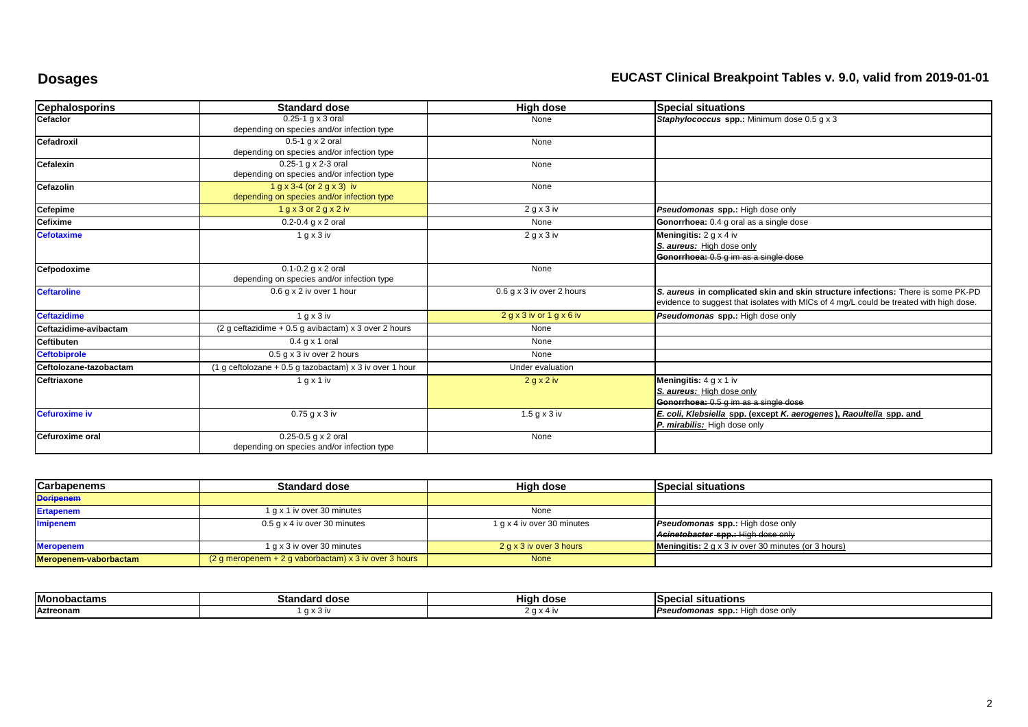# **Dosages EUCAST Clinical Breakpoint Tables v. 9.0, valid from 2019-01-01**

| <b>Cephalosporins</b>  | <b>Standard dose</b>                                    | High dose                 | <b>Special situations</b>                                                              |
|------------------------|---------------------------------------------------------|---------------------------|----------------------------------------------------------------------------------------|
| Cefaclor               | $0.25-1$ q x 3 oral                                     | None                      | Staphylococcus spp.: Minimum dose 0.5 g x 3                                            |
|                        | depending on species and/or infection type              |                           |                                                                                        |
| Cefadroxil             | $0.5-1$ q x 2 oral                                      | None                      |                                                                                        |
|                        | depending on species and/or infection type              |                           |                                                                                        |
| Cefalexin              | 0.25-1 g x 2-3 oral                                     | None                      |                                                                                        |
|                        | depending on species and/or infection type              |                           |                                                                                        |
| Cefazolin              | $1 g x 3-4 (or 2 g x 3)$ iv                             | None                      |                                                                                        |
|                        | depending on species and/or infection type              |                           |                                                                                        |
| Cefepime               | 1 g x 3 or 2 g x 2 iv                                   | 2 g x 3 iv                | Pseudomonas spp.: High dose only                                                       |
| <b>Cefixime</b>        | $0.2 - 0.4$ g x 2 oral                                  | None                      | Gonorrhoea: 0.4 g oral as a single dose                                                |
| <b>Cefotaxime</b>      | 1 g x 3 iv                                              | 2 g x 3 iv                | <b>Meningitis:</b> $2 g \times 4 W$                                                    |
|                        |                                                         |                           | S. aureus: High dose only                                                              |
|                        |                                                         |                           | Gonorrhoea: 0.5 g im as a single dose                                                  |
| Cefpodoxime            | $0.1 - 0.2$ g x 2 oral                                  | None                      |                                                                                        |
|                        | depending on species and/or infection type              |                           |                                                                                        |
| <b>Ceftaroline</b>     | 0.6 g x 2 iv over 1 hour                                | 0.6 g x 3 iv over 2 hours | S. aureus in complicated skin and skin structure infections: There is some PK-PD       |
|                        |                                                         |                           | evidence to suggest that isolates with MICs of 4 mg/L could be treated with high dose. |
| <b>Ceftazidime</b>     | 1 q x 3 w                                               | 2 g x 3 iv or 1 g x 6 iv  | Pseudomonas spp.: High dose only                                                       |
| Ceftazidime-avibactam  | (2 g ceftazidime $+0.5$ g avibactam) x 3 over 2 hours   | None                      |                                                                                        |
| <b>Ceftibuten</b>      | $0.4$ g x 1 oral                                        | None                      |                                                                                        |
| <b>Ceftobiprole</b>    | $0.5$ g x 3 iv over 2 hours                             | None                      |                                                                                        |
| Ceftolozane-tazobactam | (1 g ceftolozane + 0.5 g tazobactam) x 3 iv over 1 hour | Under evaluation          |                                                                                        |
| Ceftriaxone            | 1 g x 1 iv                                              | 2 g x 2 iv                | Meningitis: $4 g x 1 iv$                                                               |
|                        |                                                         |                           | S. aureus: High dose only                                                              |
|                        |                                                         |                           | Gonorrhoea: 0.5 g im as a single dose                                                  |
| <b>Cefuroxime iv</b>   | $0.75$ g x $3$ iv                                       | 1.5 g x 3 iv              | E. coli, Klebsiella spp. (except K. aerogenes), Raoultella spp. and                    |
|                        |                                                         |                           | P. mirabilis: High dose only                                                           |
| Cefuroxime oral        | 0.25-0.5 g x 2 oral                                     | None                      |                                                                                        |
|                        | depending on species and/or infection type              |                           |                                                                                        |

| <b>Carbapenems</b>    | <b>Standard dose</b>                                  | High dose                  | <b>Special situations</b>                                  |
|-----------------------|-------------------------------------------------------|----------------------------|------------------------------------------------------------|
| <b>Doripenem</b>      |                                                       |                            |                                                            |
| <b>Ertapenem</b>      | 1 g x 1 iv over 30 minutes                            | None                       |                                                            |
| <b>Imipenem</b>       | 0.5 g x 4 iv over 30 minutes                          | 1 g x 4 iv over 30 minutes | <b>Pseudomonas spp.:</b> High dose only                    |
|                       |                                                       |                            | Acinetobacter spp.: High dose only                         |
| <b>Meropenem</b>      | 1 g x 3 iv over 30 minutes                            | 2 g x 3 iv over 3 hours    | <b>Meningitis:</b> 2 g x 3 iv over 30 minutes (or 3 hours) |
| Meropenem-vaborbactam | (2 g meropenem + 2 g vaborbactam) x 3 iv over 3 hours | <b>None</b>                |                                                            |

| <b>Monobactams</b> | rd dose.<br>۔ andar میں | .<br>Hiah dose           | Special<br>situations          |
|--------------------|-------------------------|--------------------------|--------------------------------|
| Aztreonar          | . u v                   | $\overline{\phantom{a}}$ | dose only<br>Pseudomonas spp.: |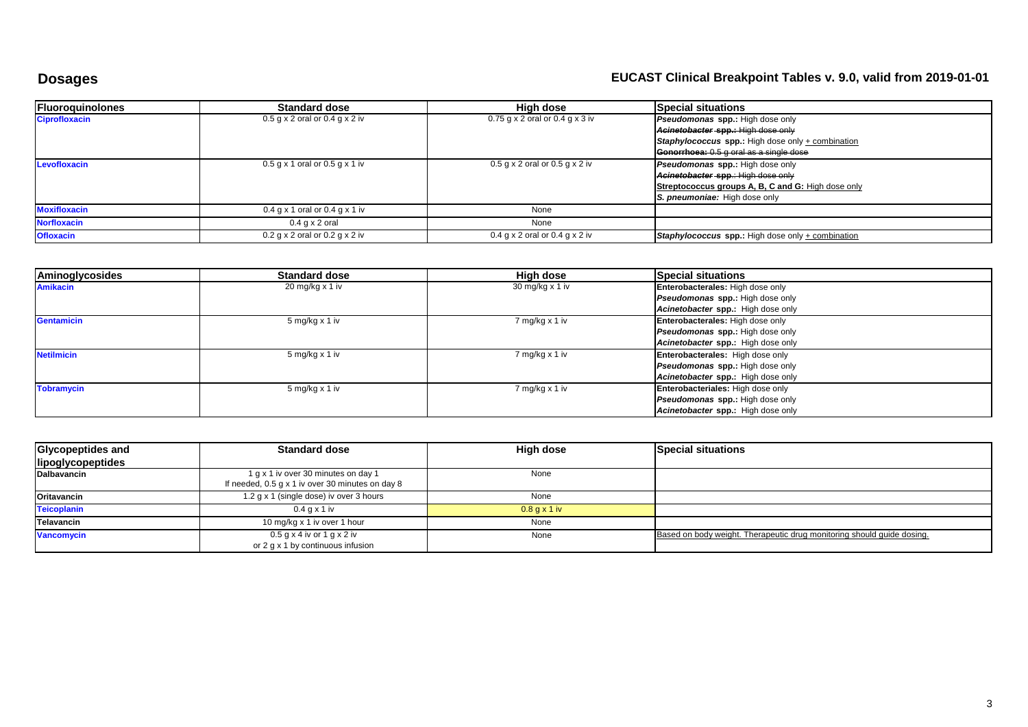# **Dosages EUCAST Clinical Breakpoint Tables v. 9.0, valid from 2019-01-01**

| <b>Fluoroquinolones</b> | <b>Standard dose</b>               | High dose                           | <b>Special situations</b>                                |
|-------------------------|------------------------------------|-------------------------------------|----------------------------------------------------------|
| <b>Ciprofloxacin</b>    | $0.5$ g x 2 oral or $0.4$ g x 2 iv | $0.75$ g x 2 oral or $0.4$ g x 3 iv | <b>Pseudomonas spp.:</b> High dose only                  |
|                         |                                    |                                     | Acinetobacter spp.: High dose only                       |
|                         |                                    |                                     | <b>Staphylococcus spp.:</b> High dose only + combination |
|                         |                                    |                                     | <b>Gonorrhoea:</b> 0.5 g oral as a single dose           |
| Levofloxacin            | $0.5$ g x 1 oral or $0.5$ g x 1 iv | $0.5$ g x 2 oral or $0.5$ g x 2 iv  | Pseudomonas spp.: High dose only                         |
|                         |                                    |                                     | Acinetobacter spp.: High dose only                       |
|                         |                                    |                                     | Streptococcus groups A, B, C and G: High dose only       |
|                         |                                    |                                     | S. pneumoniae: High dose only                            |
| <b>Moxifloxacin</b>     | $0.4$ g x 1 oral or $0.4$ g x 1 iv | None                                |                                                          |
| <b>Norfloxacin</b>      | $0.4$ g x 2 oral                   | None                                |                                                          |
| <b>Ofloxacin</b>        | $0.2$ g x 2 oral or $0.2$ g x 2 iv | $0.4$ g x 2 oral or $0.4$ g x 2 iv  | Staphylococcus spp.: High dose only + combination        |

| Aminoglycosides   | <b>Standard dose</b>         | High dose              | <b>Special situations</b>               |
|-------------------|------------------------------|------------------------|-----------------------------------------|
| <b>Amikacin</b>   | $20 \,\mathrm{mg/kg}$ x 1 iv | 30 mg/kg $\times$ 1 iv | Enterobacterales: High dose only        |
|                   |                              |                        | <b>Pseudomonas spp.:</b> High dose only |
|                   |                              |                        | Acinetobacter spp.: High dose only      |
| Gentamicin        | 5 mg/kg x 1 iv               | 7 mg/kg x 1 iv         | Enterobacterales: High dose only        |
|                   |                              |                        | <b>Pseudomonas spp.:</b> High dose only |
|                   |                              |                        | Acinetobacter spp.: High dose only      |
| <b>Netilmicin</b> | 5 mg/kg x 1 iv               | 7 mg/kg x 1 iv         | Enterobacterales: High dose only        |
|                   |                              |                        | <b>Pseudomonas spp.:</b> High dose only |
|                   |                              |                        | Acinetobacter spp.: High dose only      |
| <b>Tobramycin</b> | 5 mg/kg x 1 iv               | 7 mg/kg x 1 iv         | Enterobacteriales: High dose only       |
|                   |                              |                        | <b>Pseudomonas spp.:</b> High dose only |
|                   |                              |                        | Acinetobacter spp.: High dose only      |

| Glycopeptides and  | <b>Standard dose</b>                             | High dose      | <b>Special situations</b>                                              |
|--------------------|--------------------------------------------------|----------------|------------------------------------------------------------------------|
| lipoglycopeptides  |                                                  |                |                                                                        |
| <b>Dalbavancin</b> | 1 g x 1 iv over 30 minutes on day 1              | None           |                                                                        |
|                    | If needed, 0.5 g x 1 iv over 30 minutes on day 8 |                |                                                                        |
| Oritavancin        | 1.2 g x 1 (single dose) iv over 3 hours          | None           |                                                                        |
| <b>Teicoplanin</b> | 0.4 a x 1 iv                                     | $0.8$ g x 1 iv |                                                                        |
| Telavancin         | 10 mg/kg x 1 iv over 1 hour                      | None           |                                                                        |
| <b>Vancomycin</b>  | $0.5$ g x 4 iv or 1 g x 2 iv                     | None           | Based on body weight. Therapeutic drug monitoring should guide dosing. |
|                    | or 2 g x 1 by continuous infusion                |                |                                                                        |